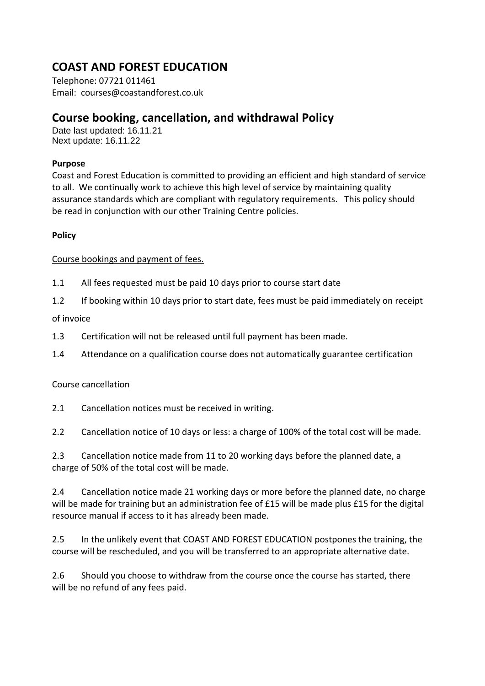# **COAST AND FOREST EDUCATION**

Telephone: 07721 011461 Email: courses@coastandforest.co.uk

# **Course booking, cancellation, and withdrawal Policy**

Date last updated: 16.11.21 Next update: 16.11.22

### **Purpose**

Coast and Forest Education is committed to providing an efficient and high standard of service to all. We continually work to achieve this high level of service by maintaining quality assurance standards which are compliant with regulatory requirements. This policy should be read in conjunction with our other Training Centre policies.

### **Policy**

### Course bookings and payment of fees.

- 1.1 All fees requested must be paid 10 days prior to course start date
- 1.2 If booking within 10 days prior to start date, fees must be paid immediately on receipt

of invoice

- 1.3 Certification will not be released until full payment has been made.
- 1.4 Attendance on a qualification course does not automatically guarantee certification

## Course cancellation

2.1 Cancellation notices must be received in writing.

2.2 Cancellation notice of 10 days or less: a charge of 100% of the total cost will be made.

2.3 Cancellation notice made from 11 to 20 working days before the planned date, a charge of 50% of the total cost will be made.

2.4 Cancellation notice made 21 working days or more before the planned date, no charge will be made for training but an administration fee of £15 will be made plus £15 for the digital resource manual if access to it has already been made.

2.5 In the unlikely event that COAST AND FOREST EDUCATION postpones the training, the course will be rescheduled, and you will be transferred to an appropriate alternative date.

2.6 Should you choose to withdraw from the course once the course has started, there will be no refund of any fees paid.